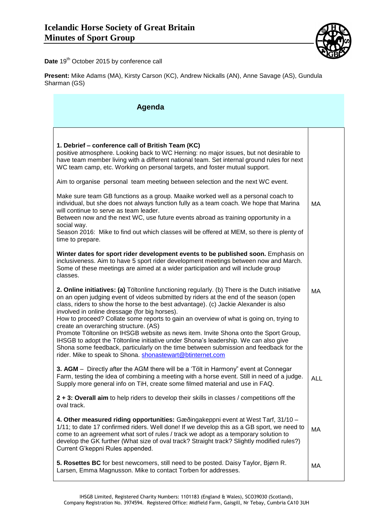

Date 19<sup>th</sup> October 2015 by conference call

**Present:** Mike Adams (MA), Kirsty Carson (KC), Andrew Nickalls (AN), Anne Savage (AS), Gundula Sharman (GS)

| Agenda                                                                                                                                                                                                                                                                                                                                                                                                                                                                                                                                                                                                                                                                                                                                                                                                     |            |
|------------------------------------------------------------------------------------------------------------------------------------------------------------------------------------------------------------------------------------------------------------------------------------------------------------------------------------------------------------------------------------------------------------------------------------------------------------------------------------------------------------------------------------------------------------------------------------------------------------------------------------------------------------------------------------------------------------------------------------------------------------------------------------------------------------|------------|
| 1. Debrief - conference call of British Team (KC)<br>positive atmosphere. Looking back to WC Herning: no major issues, but not desirable to<br>have team member living with a different national team. Set internal ground rules for next<br>WC team camp, etc. Working on personal targets, and foster mutual support.<br>Aim to organise personal team meeting between selection and the next WC event.<br>Make sure team GB functions as a group. Maaike worked well as a personal coach to<br>individual, but she does not always function fully as a team coach. We hope that Marina<br>will continue to serve as team leader.<br>Between now and the next WC, use future events abroad as training opportunity in a<br>social way.                                                                   | MA         |
| Season 2016: Mike to find out which classes will be offered at MEM, so there is plenty of<br>time to prepare.<br>Winter dates for sport rider development events to be published soon. Emphasis on<br>inclusiveness. Aim to have 5 sport rider development meetings between now and March.<br>Some of these meetings are aimed at a wider participation and will include group<br>classes.                                                                                                                                                                                                                                                                                                                                                                                                                 |            |
| 2. Online initiatives: (a) Töltonline functioning regularly. (b) There is the Dutch initiative<br>on an open judging event of videos submitted by riders at the end of the season (open<br>class, riders to show the horse to the best advantage). (c) Jackie Alexander is also<br>involved in online dressage (for big horses).<br>How to proceed? Collate some reports to gain an overview of what is going on, trying to<br>create an overarching structure. (AS)<br>Promote Töltonline on IHSGB website as news item. Invite Shona onto the Sport Group,<br>IHSGB to adopt the Töltonline initiative under Shona's leadership. We can also give<br>Shona some feedback, particularly on the time between submission and feedback for the<br>rider. Mike to speak to Shona. shonastewart@btinternet.com | MA         |
| 3. AGM - Directly after the AGM there will be a 'Tölt in Harmony" event at Connegar<br>Farm, testing the idea of combining a meeting with a horse event. Still in need of a judge.<br>Supply more general info on TiH, create some filmed material and use in FAQ.<br>2 + 3: Overall aim to help riders to develop their skills in classes / competitions off the                                                                                                                                                                                                                                                                                                                                                                                                                                          | <b>ALL</b> |
| oval track.<br>4. Other measured riding opportunities: Gæðingakeppni event at West Tarf, 31/10 -<br>1/11; to date 17 confirmed riders. Well done! If we develop this as a GB sport, we need to<br>come to an agreement what sort of rules / track we adopt as a temporary solution to<br>develop the GK further (What size of oval track? Straight track? Slightly modified rules?)<br>Current G'keppni Rules appended.                                                                                                                                                                                                                                                                                                                                                                                    | МA         |
| 5. Rosettes BC for best newcomers, still need to be posted. Daisy Taylor, Bjørn R.<br>Larsen, Emma Magnusson. Mike to contact Torben for addresses.                                                                                                                                                                                                                                                                                                                                                                                                                                                                                                                                                                                                                                                        | MA         |